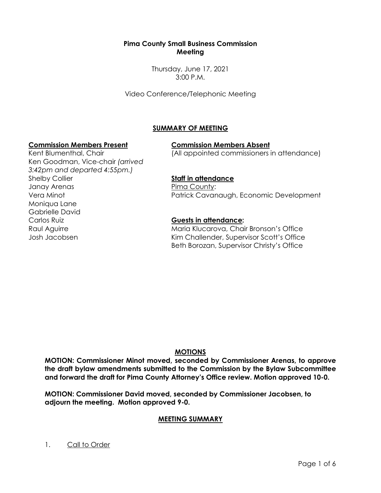### **Pima County Small Business Commission Meeting**

Thursday, June 17, 2021 3:00 P.M.

Video Conference/Telephonic Meeting

## **SUMMARY OF MEETING**

#### **Commission Members Present Commission Members Absent**

(All appointed commissioners in attendance)

Kent Blumenthal, Chair Ken Goodman, Vice-chair *(arrived 3:42pm and departed 4:55pm.)* Shelby Collier Janay Arenas Vera Minot Moniqua Lane Gabrielle David Carlos Ruiz Raul Aguirre Josh Jacobsen

## **Staff in attendance**

Pima County: Patrick Cavanaugh, Economic Development

## **Guests in attendance:**

Maria Klucarova, Chair Bronson's Office Kim Challender, Supervisor Scott's Office Beth Borozan, Supervisor Christy's Office

# **MOTIONS**

**MOTION: Commissioner Minot moved, seconded by Commissioner Arenas, to approve the draft bylaw amendments submitted to the Commission by the Bylaw Subcommittee and forward the draft for Pima County Attorney's Office review. Motion approved 10-0.**

**MOTION: Commissioner David moved, seconded by Commissioner Jacobsen, to adjourn the meeting. Motion approved 9-0.**

## **MEETING SUMMARY**

1. Call to Order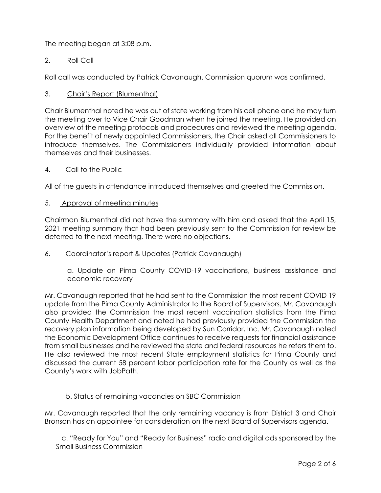The meeting began at 3:08 p.m.

## 2. Roll Call

Roll call was conducted by Patrick Cavanaugh. Commission quorum was confirmed.

## 3. Chair's Report (Blumenthal)

Chair Blumenthal noted he was out of state working from his cell phone and he may turn the meeting over to Vice Chair Goodman when he joined the meeting. He provided an overview of the meeting protocols and procedures and reviewed the meeting agenda. For the benefit of newly appointed Commissioners, the Chair asked all Commissioners to introduce themselves. The Commissioners individually provided information about themselves and their businesses.

### 4. Call to the Public

All of the guests in attendance introduced themselves and greeted the Commission.

### 5. Approval of meeting minutes

Chairman Blumenthal did not have the summary with him and asked that the April 15, 2021 meeting summary that had been previously sent to the Commission for review be deferred to the next meeting. There were no objections.

## 6. Coordinator's report & Updates (Patrick Cavanaugh)

a. Update on Pima County COVID-19 vaccinations, business assistance and economic recovery

Mr. Cavanaugh reported that he had sent to the Commission the most recent COVID 19 update from the Pima County Administrator to the Board of Supervisors. Mr. Cavanaugh also provided the Commission the most recent vaccination statistics from the Pima County Health Department and noted he had previously provided the Commission the recovery plan information being developed by Sun Corridor, Inc. Mr. Cavanaugh noted the Economic Development Office continues to receive requests for financial assistance from small businesses and he reviewed the state and federal resources he refers them to. He also reviewed the most recent State employment statistics for Pima County and discussed the current 58 percent labor participation rate for the County as well as the County's work with JobPath.

## b. Status of remaining vacancies on SBC Commission

Mr. Cavanaugh reported that the only remaining vacancy is from District 3 and Chair Bronson has an appointee for consideration on the next Board of Supervisors agenda.

 c. "Ready for You" and "Ready for Business" radio and digital ads sponsored by the Small Business Commission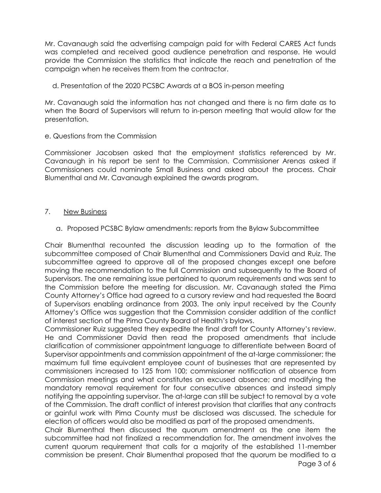Mr. Cavanaugh said the advertising campaign paid for with Federal CARES Act funds was completed and received good audience penetration and response. He would provide the Commission the statistics that indicate the reach and penetration of the campaign when he receives them from the contractor.

d. Presentation of the 2020 PCSBC Awards at a BOS in-person meeting

Mr. Cavanaugh said the information has not changed and there is no firm date as to when the Board of Supervisors will return to in-person meeting that would allow for the presentation.

e. Questions from the Commission

Commissioner Jacobsen asked that the employment statistics referenced by Mr. Cavanaugh in his report be sent to the Commission. Commissioner Arenas asked if Commissioners could nominate Small Business and asked about the process. Chair Blumenthal and Mr. Cavanaugh explained the awards program.

### 7. New Business

a. Proposed PCSBC Bylaw amendments: reports from the Bylaw Subcommittee

Chair Blumenthal recounted the discussion leading up to the formation of the subcommittee composed of Chair Blumenthal and Commissioners David and Ruiz. The subcommittee agreed to approve all of the proposed changes except one before moving the recommendation to the full Commission and subsequently to the Board of Supervisors. The one remaining issue pertained to quorum requirements and was sent to the Commission before the meeting for discussion. Mr. Cavanaugh stated the Pima County Attorney's Office had agreed to a cursory review and had requested the Board of Supervisors enabling ordinance from 2003. The only input received by the County Attorney's Office was suggestion that the Commission consider addition of the conflict of interest section of the Pima County Board of Health's bylaws.

Commissioner Ruiz suggested they expedite the final draft for County Attorney's review. He and Commissioner David then read the proposed amendments that include clarification of commissioner appointment language to differentiate between Board of Supervisor appointments and commission appointment of the at-large commissioner; the maximum full time equivalent employee count of businesses that are represented by commissioners increased to 125 from 100; commissioner notification of absence from Commission meetings and what constitutes an excused absence; and modifying the mandatory removal requirement for four consecutive absences and instead simply notifying the appointing supervisor. The at-large can still be subject to removal by a vote of the Commission. The draft conflict of interest provision that clarifies that any contracts or gainful work with Pima County must be disclosed was discussed. The schedule for election of officers would also be modified as part of the proposed amendments.

Chair Blumenthal then discussed the quorum amendment as the one item the subcommittee had not finalized a recommendation for. The amendment involves the current quorum requirement that calls for a majority of the established 11-member commission be present. Chair Blumenthal proposed that the quorum be modified to a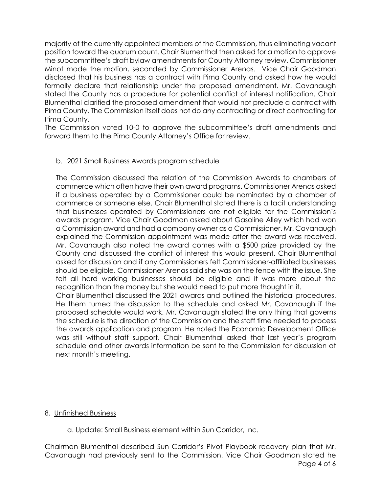majority of the currently appointed members of the Commission, thus eliminating vacant position toward the quorum count. Chair Blumenthal then asked for a motion to approve the subcommittee's draft bylaw amendments for County Attorney review. Commissioner Minot made the motion, seconded by Commissioner Arenas. Vice Chair Goodman disclosed that his business has a contract with Pima County and asked how he would formally declare that relationship under the proposed amendment. Mr. Cavanaugh stated the County has a procedure for potential conflict of interest notification. Chair Blumenthal clarified the proposed amendment that would not preclude a contract with Pima County. The Commission itself does not do any contracting or direct contracting for Pima County.

The Commission voted 10-0 to approve the subcommittee's draft amendments and forward them to the Pima County Attorney's Office for review.

### b. 2021 Small Business Awards program schedule

The Commission discussed the relation of the Commission Awards to chambers of commerce which often have their own award programs. Commissioner Arenas asked if a business operated by a Commissioner could be nominated by a chamber of commerce or someone else. Chair Blumenthal stated there is a tacit understanding that businesses operated by Commissioners are not eligible for the Commission's awards program. Vice Chair Goodman asked about Gasoline Alley which had won a Commission award and had a company owner as a Commissioner. Mr. Cavanaugh explained the Commission appointment was made after the award was received. Mr. Cavanaugh also noted the award comes with a \$500 prize provided by the County and discussed the conflict of interest this would present. Chair Blumenthal asked for discussion and if any Commissioners felt Commissioner-affiliated businesses should be eligible. Commissioner Arenas said she was on the fence with the issue. She felt all hard working businesses should be eligible and it was more about the recognition than the money but she would need to put more thought in it.

Chair Blumenthal discussed the 2021 awards and outlined the historical procedures. He them turned the discussion to the schedule and asked Mr. Cavanaugh if the proposed schedule would work. Mr. Cavanaugh stated the only thing that governs the schedule is the direction of the Commission and the staff time needed to process the awards application and program. He noted the Economic Development Office was still without staff support. Chair Blumenthal asked that last year's program schedule and other awards information be sent to the Commission for discussion at next month's meeting.

#### 8. Unfinished Business

a. Update: Small Business element within Sun Corridor, Inc.

Page 4 of 6 Chairman Blumenthal described Sun Corridor's Pivot Playbook recovery plan that Mr. Cavanaugh had previously sent to the Commission. Vice Chair Goodman stated he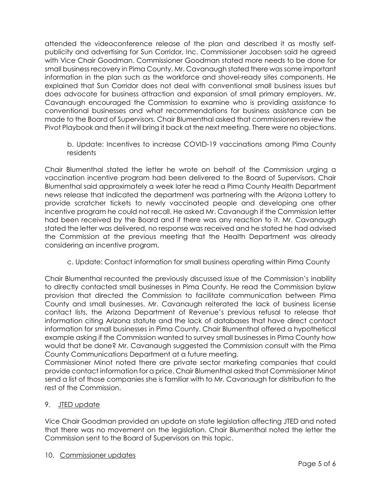attended the videoconference release of the plan and described it as mostly selfpublicity and advertising for Sun Corridor, Inc. Commissioner Jacobsen said he agreed with Vice Chair Goodman. Commissioner Goodman stated more needs to be done for small business recovery in Pima County. Mr. Cavanaugh stated there was some important information in the plan such as the workforce and shovel-ready sites components. He explained that Sun Corridor does not deal with conventional small business issues but does advocate for business attraction and expansion of small primary employers. Mr. Cavanaugh encouraged the Commission to examine who is providing assistance to conventional businesses and what recommendations for business assistance can be made to the Board of Supervisors. Chair Blumenthal asked that commissioners review the Pivot Playbook and then it will bring it back at the next meeting. There were no objections.

b. Update: Incentives to increase COVID-19 vaccinations among Pima County residents

Chair Blumenthal stated the letter he wrote on behalf of the Commission urging a vaccination incentive program had been delivered to the Board of Supervisors. Chair Blumenthal said approximately a week later he read a Pima County Health Department news release that indicated the department was partnering with the Arizona Lottery to provide scratcher tickets to newly vaccinated people and developing one other incentive program he could not recall. He asked Mr. Cavanaugh if the Commission letter had been received by the Board and if there was any reaction to it. Mr. Cavanaugh stated the letter was delivered, no response was received and he stated he had advised the Commission at the previous meeting that the Health Department was already considering an incentive program.

c. Update: Contact information for small business operating within Pima County

Chair Blumenthal recounted the previously discussed issue of the Commission's inability to directly contacted small businesses in Pima County. He read the Commission bylaw provision that directed the Commission to facilitate communication between Pima County and small businesses. Mr. Cavanaugh reiterated the lack of business license contact lists, the Arizona Department of Revenue's previous refusal to release that information citing Arizona statute and the lack of databases that have direct contact information for small businesses in Pima County. Chair Blumenthal offered a hypothetical example asking if the Commission wanted to survey small businesses in Pima County how would that be done? Mr. Cavanaugh suggested the Commission consult with the Pima County Communications Department at a future meeting.

Commissioner Minot noted there are private sector marketing companies that could provide contact information for a price. Chair Blumenthal asked that Commissioner Minot send a list of those companies she is familiar with to Mr. Cavanaugh for distribution to the rest of the Commission.

# 9. JTED update

Vice Chair Goodman provided an update on state legislation affecting JTED and noted that there was no movement on the legislation. Chair Blumenthal noted the letter the Commission sent to the Board of Supervisors on this topic.

10. Commissioner updates